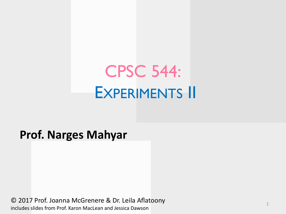# CPSC 544: EXPERIMENTS II

### **Prof. Narges Mahyar**

© 2017 Prof. Joanna McGrenere & Dr. Leila Aflatoony includes slides from Prof. Karon MacLean and Jessica Dawson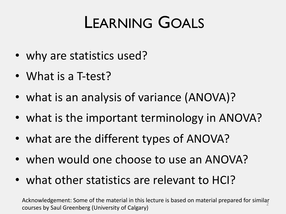# LEARNING GOALS

- why are statistics used?
- What is a T-test?
- what is an analysis of variance (ANOVA)?
- what is the important terminology in ANOVA?
- what are the different types of ANOVA?
- when would one choose to use an ANOVA?
- what other statistics are relevant to HCI?

Acknowledgement: Some of the material in this lecture is based on material prepared for similar courses by Saul Greenberg (University of Calgary)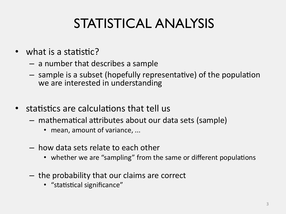## STATISTICAL ANALYSIS

- what is a statistic?
	- a number that describes a sample
	- $-$  sample is a subset (hopefully representative) of the population we are interested in understanding
- statistics are calculations that tell us
	- $-$  mathematical attributes about our data sets (sample)
		- mean, amount of variance, ...
	- how data sets relate to each other
		- whether we are "sampling" from the same or different populations
	- the probability that our claims are correct
		- "statistical significance"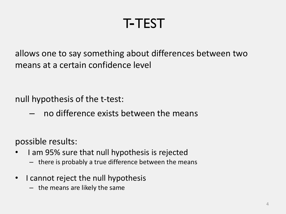## T-TEST

allows one to say something about differences between two means at a certain confidence level

null hypothesis of the t-test:

– no difference exists between the means

possible results:

- I am 95% sure that null hypothesis is rejected
	- there is probably a true difference between the means
- I cannot reject the null hypothesis
	- the means are likely the same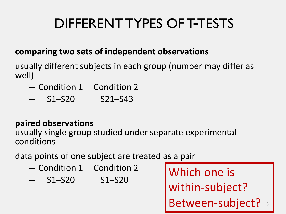## DIFFERENT TYPES OF T-TESTS

### **comparing two sets of independent observations**

usually different subjects in each group (number may differ as well)

- Condition 1 Condition 2
- S1–S20 S21–S43

### **paired observations**

usually single group studied under separate experimental conditions

data points of one subject are treated as a pair

- Condition 1 Condition 2
- S1–S20 S1–S20

Between-subject? 5 Which one is within-subject?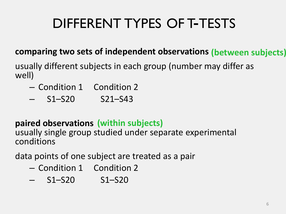## DIFFERENT TYPES OF T-TESTS

### **comparing two sets of independent observations (between subjects)**

usually different subjects in each group (number may differ as well)

- Condition 1 Condition 2
- S1–S20 S21–S43

### **paired observations (within subjects)**

usually single group studied under separate experimental conditions

data points of one subject are treated as a pair

- Condition 1 Condition 2
- S1–S20 S1–S20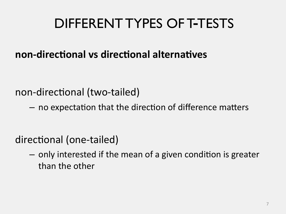## DIFFERENT TYPES OF T-TESTS

### **non-directional vs directional alternatives**

non-directional (two-tailed)

 $-$  no expectation that the direction of difference matters

directional (one-tailed)

 $-$  only interested if the mean of a given condition is greater than the other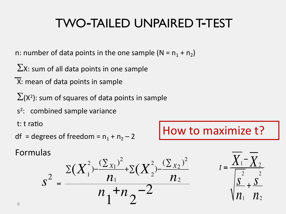### TWO-TAILED UNPAIRED T-TEST

n: number of data points in the one sample ( $N = n_1 + n_2$ )

 $\Sigma$ X: sum of all data points in one sample

X: mean of data points in sample

 $\Sigma(X^2)$ : sum of squares of data points in sample

 $s<sup>2</sup>$ : combined sample variance

t: t ratio

df = degrees of freedom = 
$$
n_1 + n_2 - 2
$$

How to maximize t?

Formulas



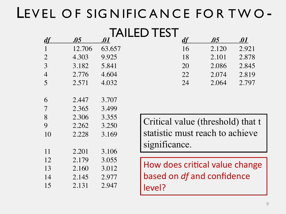## LEVEL OF SIGNIFICANCE FOR TWO-

### TAILED TEST

| $\overline{df}$ | .05    | $\bm{.01}$ |                                | $\overline{df}$ | .05                               | $.01\,$ |
|-----------------|--------|------------|--------------------------------|-----------------|-----------------------------------|---------|
| $\mathbf{1}$    | 12.706 | 63.657     |                                | 16              | 2.120                             | 2.921   |
| $\overline{2}$  | 4.303  | 9.925      |                                | 18              | 2.101                             | 2.878   |
| 3               | 3.182  | 5.841      |                                | 20              | 2.086                             | 2.845   |
| $\overline{4}$  | 2.776  | 4.604      |                                | 22              | 2.074                             | 2.819   |
| 5               | 2.571  | 4.032      |                                | 24              | 2.064                             | 2.797   |
|                 |        |            |                                |                 |                                   |         |
| 6               | 2.447  | 3.707      |                                |                 |                                   |         |
| 7               | 2.365  | 3.499      |                                |                 |                                   |         |
| 8               | 2.306  | 3.355      |                                |                 |                                   |         |
| 9               | 2.262  | 3.250      |                                |                 | Critical value (threshold) that t |         |
| 10              | 2.228  | 3.169      |                                |                 | statistic must reach to achieve   |         |
|                 |        |            | significance.                  |                 |                                   |         |
| 11              | 2.201  | 3.106      |                                |                 |                                   |         |
| 12              | 2.179  | 3.055      |                                |                 |                                   |         |
| 13              | 2.160  | 3.012      | How does critical value change |                 |                                   |         |
| 14              | 2.145  | 2.977      |                                |                 | based on df and confidence        |         |
| 15              | 2.131  | 2.947      | level?                         |                 |                                   |         |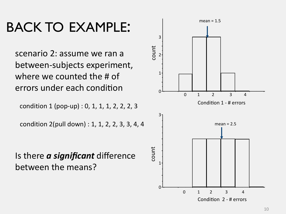## BACK TO EXAMPLE:

scenario 2: assume we ran a between-subjects experiment, where we counted the # of errors under each condition

condition 1 (pop-up) : 0, 1, 1, 1, 2, 2, 2, 3

condition 2(pull down) : 1, 1, 2, 2, 3, 3, 4, 4

Is there *a significant* difference between the means?

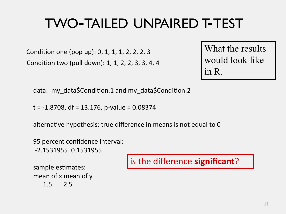## TWO-TAILED UNPAIRED T-TEST

Condition one (pop up): 0, 1, 1, 1, 2, 2, 2, 3 Condition two (pull down): 1, 1, 2, 2, 3, 3, 4, 4

What the results would look like in R.

data: my\_data\$Condition.1 and my\_data\$Condition.2

 $t = -1.8708$ , df = 13.176, p-value = 0.08374

alternative hypothesis: true difference in means is not equal to 0

95 percent confidence interval: -2.1531955 0.1531955

sample estimates: mean of x mean of y 1.5 2.5

### is the difference **significant**?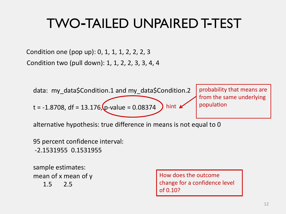## TWO-TAILED UNPAIRED T-TEST

Condition one (pop up): 0, 1, 1, 1, 2, 2, 2, 3 Condition two (pull down): 1, 1, 2, 2, 3, 3, 4, 4



alternative hypothesis: true difference in means is not equal to 0

95 percent confidence interval: -2.1531955 0.1531955

sample estimates: mean of x mean of y 1.5 2.5

How does the outcome change for a confidence level of 0.10?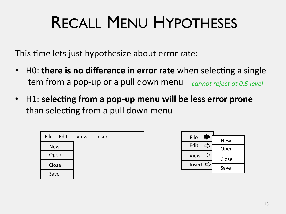# RECALL MENU HYPOTHESES

This time lets just hypothesize about error rate:

- HO: **there is no difference in error rate** when selecting a single item from a pop-up or a pull down menu *- cannot reject at 0.5 level*
- H1: selecting from a pop-up menu will be less error prone than selecting from a pull down menu



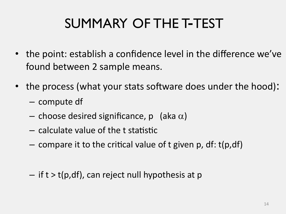## SUMMARY OF THE T-TEST

- the point: establish a confidence level in the difference we've found between 2 sample means.
- the process (what your stats software does under the hood):
	- compute df
	- choose desired significance, p (aka  $\alpha$ )
	- $-$  calculate value of the t statistic
	- $-$  compare it to the critical value of t given p, df: t(p,df)
	- $-$  if t  $>$  t(p,df), can reject null hypothesis at p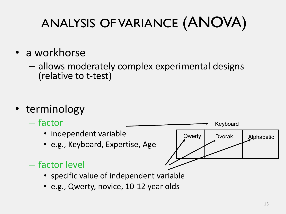## ANALYSIS OF VARIANCE (ANOVA)

- a workhorse
	- allows moderately complex experimental designs (relative to t-test)

- terminology
	- factor
		- independent variable
		- e.g., Keyboard, Expertise, Age



- factor level
	- specific value of independent variable
	- e.g., Qwerty, novice, 10-12 year olds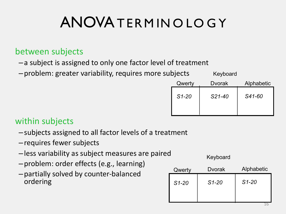## ANOVA TERMINO LO GY

### between subjects

- –a subject is assigned to only one factor level of treatment
- –problem: greater variability, requires more subjects

| Qwerty  | <b>D</b> vorak | Alphabetic |
|---------|----------------|------------|
| $S1-20$ | S21-40         | S41-60     |
|         |                |            |

Keyboard

#### within subjects

- –subjects assigned to all factor levels of a treatment
- –requires fewer subjects
- –less variability as subject measures are paired
- –problem: order effects (e.g., learning)
- –partially solved by counter-balanced ordering

| Qwerty  | <b>D</b> vorak | Alphabetic |
|---------|----------------|------------|
| $S1-20$ | $S1-20$        | $S1 - 20$  |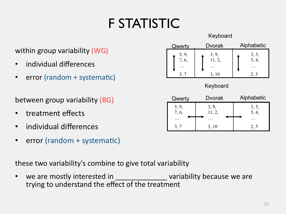## F STATISTIC

#### within group variability (WG)

- individual differences
- error (random  $+$  systematic)

between group variability (BG)

- treatment effects
- individual differences
- error (random + systematic)

these two variability's combine to give total variability

• we are mostly interested in \_\_\_\_\_\_\_\_\_\_\_\_\_\_\_\_\_\_\_ variability because we are trying to understand the effect of the treatment



Keyboard

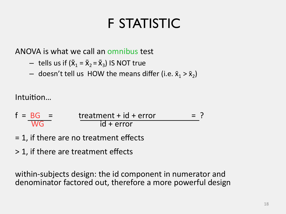## F STATISTIC

ANOVA is what we call an omnibus test

- $-$  tells us if ( $\bar{x}_1 = \bar{x}_2 = \bar{x}_3$ ) IS NOT true
- $-$  doesn't tell us HOW the means differ (i.e.  $\bar{x}_1 > \bar{x}_2$ )

Intuition...

$$
f = \frac{BG}{WG} = \frac{treatment + id + error}{id + error} = ?
$$

- = 1, if there are no treatment effects
- > 1, if there are treatment effects

within-subjects design: the id component in numerator and denominator factored out, therefore a more powerful design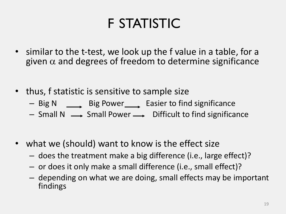## F STATISTIC

- similar to the t-test, we look up the f value in a table, for a given  $\alpha$  and degrees of freedom to determine significance
- thus, f statistic is sensitive to sample size
	- Big N Big Power Easier to find significance
	- $-$  Small N  $\longrightarrow$  Small Power  $\longrightarrow$  Difficult to find significance
- what we (should) want to know is the effect size
	- does the treatment make a big difference (i.e., large effect)?
	- or does it only make a small difference (i.e., small effect)?
	- depending on what we are doing, small effects may be important findings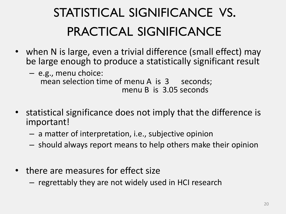## STATISTICAL SIGNIFICANCE VS. PRACTICAL SIGNIFICANCE

- when N is large, even a trivial difference (small effect) may be large enough to produce a statistically significant result
	- e.g., menu choice: mean selection time of menu A is 3 seconds; menu B is 3.05 seconds
- statistical significance does not imply that the difference is important!
	- a matter of interpretation, i.e., subjective opinion
	- should always report means to help others make their opinion
- there are measures for effect size
	- regrettably they are not widely used in HCI research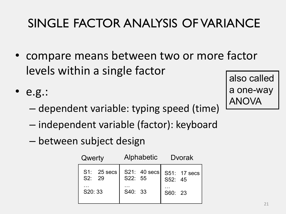## SINGLE FACTOR ANALYSIS OF VARIANCE

- compare means between two or more factor levels within a single factor
- e.g.:
	- dependent variable: typing speed (time)
	- independent variable (factor): keyboard
	- between subject design

| Qwerty                          | Alphabetic                         | Dvorak                             |  |
|---------------------------------|------------------------------------|------------------------------------|--|
| S1: 25 secs<br>S2: 29<br>S20:33 | S21: 40 secs<br>S22: 55<br>S40: 33 | S51: 17 secs<br>S52: 45<br>S60: 23 |  |
|                                 |                                    |                                    |  |

also called a one-way ANOVA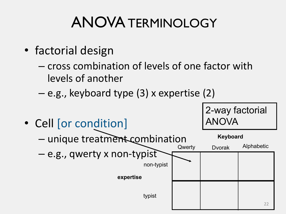## ANOVA TERMINOLOGY

- factorial design
	- cross combination of levels of one factor with levels of another
	- e.g., keyboard type (3) x expertise (2)

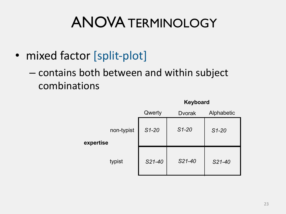## ANOVA TERMINOLOGY

- mixed factor [split-plot]
	- contains both between and within subject combinations

|                         |         | neypoard       |            |  |  |
|-------------------------|---------|----------------|------------|--|--|
|                         | Qwerty  | <b>D</b> vorak | Alphabetic |  |  |
| non-typist<br>expertise | $S1-20$ | $S1-20$        | $S1-20$    |  |  |
| typist                  | S21-40  | $S21-40$       | S21-40     |  |  |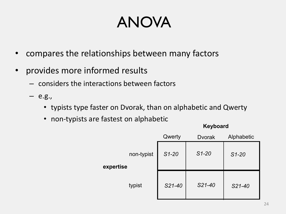## ANOVA

- compares the relationships between many factors
- provides more informed results
	- considers the interactions between factors
	- e.g.,
		- typists type faster on Dvorak, than on alphabetic and Qwerty
		- non-typists are fastest on alphabetic

|           |            | Qwerty  | <b>Dvorak</b> | Alphabetic |
|-----------|------------|---------|---------------|------------|
| expertise | non-typist | $S1-20$ | $S1-20$       | $S1 - 20$  |
|           | typist     | S21-40  | S21-40        | S21-40     |